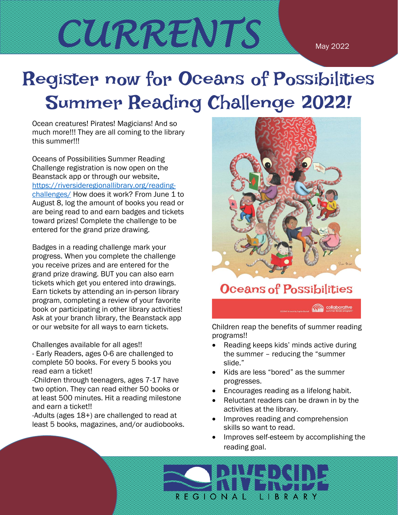CURRENTS MAY 2022

# Register now for Oceans of Possibilities Summer Reading Challenge 2022!

Ocean creatures! Pirates! Magicians! And so much more!!! They are all coming to the library this summer!!!

Oceans of Possibilities Summer Reading Challenge registration is now open on the Beanstack app or through our website. [https://riversideregionallibrary.org/reading](https://riversideregionallibrary.org/reading-challenges/)[challenges/](https://riversideregionallibrary.org/reading-challenges/) How does it work? From June 1 to August 8, log the amount of books you read or are being read to and earn badges and tickets toward prizes! Complete the challenge to be entered for the grand prize drawing.

Badges in a reading challenge mark your progress. When you complete the challenge you receive prizes and are entered for the grand prize drawing. BUT you can also earn tickets which get you entered into drawings. Earn tickets by attending an in-person library program, completing a review of your favorite book or participating in other library activities! Ask at your branch library, the Beanstack app or our website for all ways to earn tickets.

Challenges available for all ages!!

- Early Readers, ages 0-6 are challenged to complete 50 books. For every 5 books you read earn a ticket!

-Children through teenagers, ages 7-17 have two option. They can read either 50 books or at least 500 minutes. Hit a reading milestone and earn a ticket!!

-Adults (ages 18+) are challenged to read at least 5 books, magazines, and/or audiobooks.



### Oceans of Possibilities

collaborative

Children reap the benefits of summer reading programs!!

- Reading keeps kids' minds active during the summer – reducing the "summer slide."
- Kids are less "bored" as the summer progresses.
- Encourages reading as a lifelong habit.
- Reluctant readers can be drawn in by the activities at the library.
- Improves reading and comprehension skills so want to read.
- Improves self-esteem by accomplishing the reading goal.

**REGIONAL** LIBRARY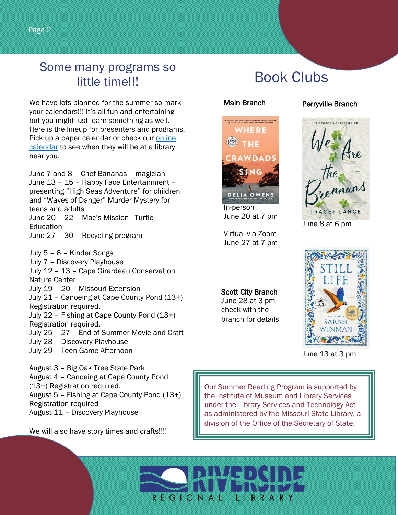### Some many programs so little time!!!

We have lots planned for the summer so mark your calendars!!! It's all fun and entertaining but you might just learn something as well. Here is the lineup for presenters and programs. Pick up a paper calendar or check our [online](https://riversideregionallibrary.org/calendar/) [calendar](https://riversideregionallibrary.org/calendar/) to see when they will be at a library near you.

June 7 and 8 – Chef Bananas – magician June 13 – 15 – Happy Face Entertainment – presenting "High Seas Adventure" for children and "Waves of Danger" Murder Mystery for teens and adults June 20 – 22 – Mac's Mission - Turtle Education June 27 – 30 – Recycling program

July 5 – 6 – Kinder Songs July 7 – Discovery Playhouse July 12 – 13 – Cape Girardeau Conservation Nature Center July 19 – 20 – Missouri Extension July 21 – Canoeing at Cape County Pond (13+) Registration required. July 22 – Fishing at Cape County Pond (13+) Registration required. July 25 – 27 – End of Summer Movie and Craft July 28 – Discovery Playhouse July 29 – Teen Game Afternoon August 3 – Big Oak Tree State Park

August 4 – Canoeing at Cape County Pond (13+) Registration required. August 5 – Fishing at Cape County Pond (13+) Registration required August 11 – Discovery Playhouse

We will also have story times and crafts!!!!

# Book Clubs

#### Main Branch



 In-person June 20 at 7 pm

 Virtual via Zoom June 27 at 7 pm

Scott City Branch June 28 at 3 pm – check with the branch for details

#### Perryville Branch



June 8 at 6 pm



June 13 at 3 pm

Our Summer Reading Program is supported by the Institute of Museum and Library Services under the Library Services and Technology Act as administered by the Missouri State Library, a division of the Office of the Secretary of State.

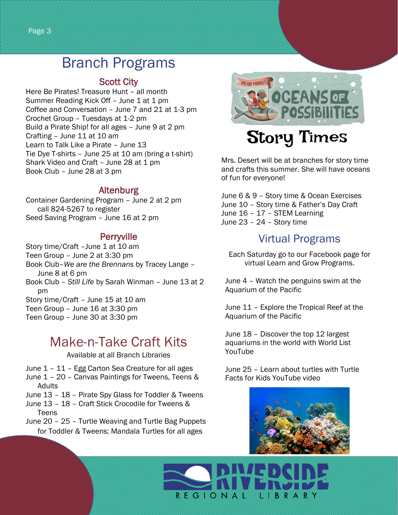## Branch Programs

#### Scott City

Here Be Pirates! Treasure Hunt – all month Summer Reading Kick Off - June 1 at 1 pm Coffee and Conversation – June 7 and 21 at 1-3 pm Crochet Group – Tuesdays at 1-2 pm Build a Pirate Ship! for all ages – June 9 at 2 pm Crafting – June 11 at 10 am Learn to Talk Like a Pirate – June 13 Tie Dye T-shirts – June 25 at 10 am (bring a t-shirt) Shark Video and Craft - June 28 at 1 pm Book Club – June 28 at 3 pm

#### Altenburg

Container Gardening Program – June 2 at 2 pm call 824-5267 to register Seed Saving Program – June 16 at 2 pm

#### **Perryville**

Story time/Craft - June 1 at 10 am Teen Group – June 2 at 3:30 pm Book Club–*We are the Brennans* by Tracey Lange – June 8 at 6 pm Book Club – *Still Life* by Sarah Winman – June 13 at 2 pm Story time/Craft – June 15 at 10 am Teen Group – June 16 at 3:30 pm Teen Group – June 30 at 3:30 pm

### Make-n-Take Craft Kits

#### Available at all Branch Libraries

- June 1 11 Egg Carton Sea Creature for all ages
- June 1 20 Canvas Paintings for Tweens, Teens & Adults
- June 13 18 Pirate Spy Glass for Toddler & Tweens
- June 13 18 Craft Stick Crocodile for Tweens & **Teens**
- June 20 25 Turtle Weaving and Turtle Bag Puppets for Toddler & Tweens; Mandala Turtles for all ages



# Story Times

Mrs. Desert will be at branches for story time and crafts this summer. She will have oceans of fun for everyone!

June 6 & 9 – Story time & Ocean Exercises June 10 – Story time & Father's Day Craft June 16 – 17 – STEM Learning June 23 – 24 – Story time

#### Virtual Programs

Each Saturday go to our Facebook page for virtual Learn and Grow Programs.

June 4 – Watch the penguins swim at the Aquarium of the Pacific

June 11 – Explore the Tropical Reef at the Aquarium of the Pacific

June 18 – Discover the top 12 largest aquariums in the world with World List YouTube

June 25 – Learn about turtles with Turtle Facts for Kids YouTube video



LIBRARY

R E G I O N A L